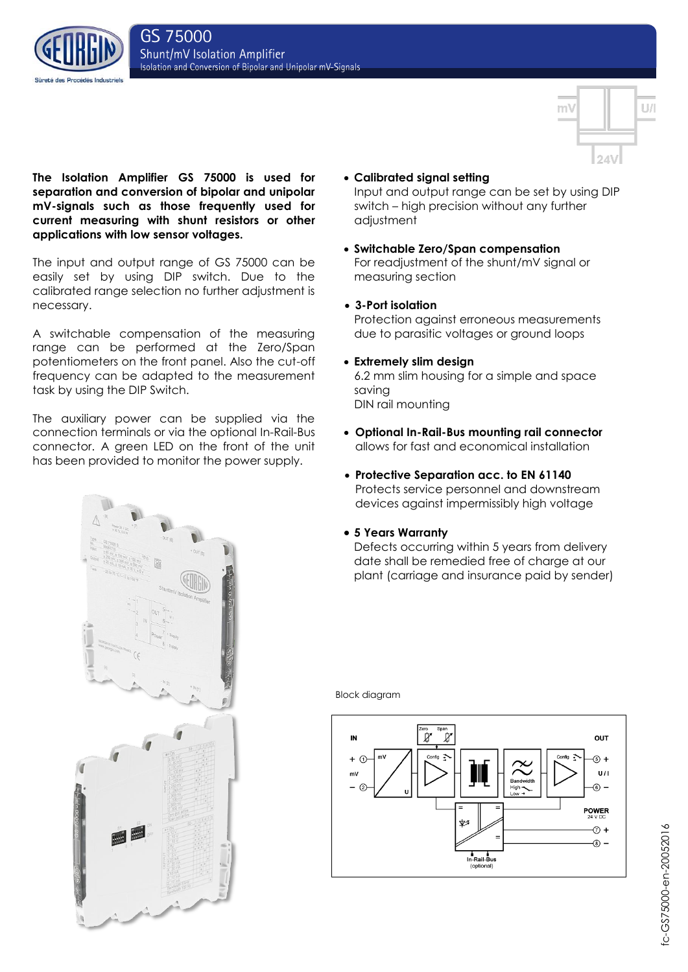



**The Isolation Amplifier GS 75000 is used for separation and conversion of bipolar and unipolar mV-signals such as those frequently used for current measuring with shunt resistors or other applications with low sensor voltages.** 

The input and output range of GS 75000 can be easily set by using DIP switch. Due to the calibrated range selection no further adjustment is necessary.

A switchable compensation of the measuring range can be performed at the Zero/Span potentiometers on the front panel. Also the cut-off frequency can be adapted to the measurement task by using the DIP Switch.

The auxiliary power can be supplied via the connection terminals or via the optional In-Rail-Bus connector. A green LED on the front of the unit has been provided to monitor the power supply.

**Calibrated signal setting**

Input and output range can be set by using DIP switch – high precision without any further adjustment

 **Switchable Zero/Span compensation** For readjustment of the shunt/mV signal or measuring section

# **3-Port isolation**

Protection against erroneous measurements due to parasitic voltages or ground loops

**Extremely slim design**

6.2 mm slim housing for a simple and space saving DIN rail mounting

- **Optional In-Rail-Bus mounting rail connector** allows for fast and economical installation
- **Protective Separation acc. to EN 61140** Protects service personnel and downstream devices against impermissibly high voltage
- **5 Years Warranty**

Defects occurring within 5 years from delivery date shall be remedied free of charge at our plant (carriage and insurance paid by sender)



Block diagram